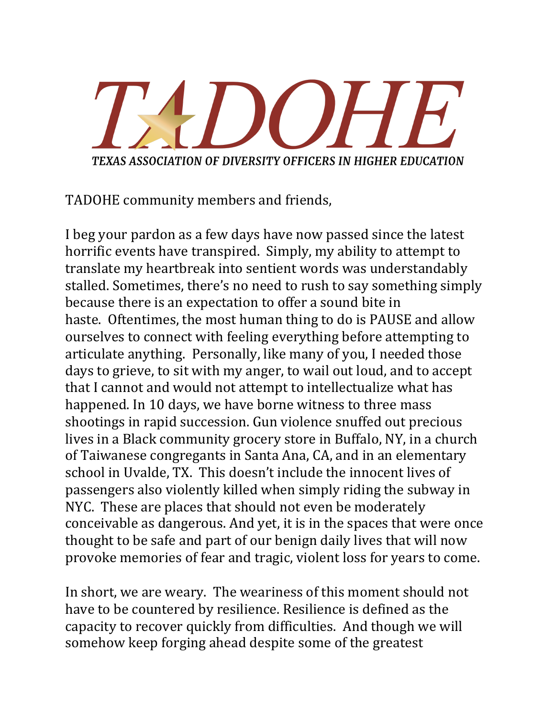TEXAS ASSOCIATION OF DIVERSITY OFFICERS IN HIGHER EDUCATION

TADOHE community members and friends,

I beg your pardon as a few days have now passed since the latest horrific events have transpired. Simply, my ability to attempt to translate my heartbreak into sentient words was understandably stalled. Sometimes, there's no need to rush to say something simply because there is an expectation to offer a sound bite in haste. Oftentimes, the most human thing to do is PAUSE and allow ourselves to connect with feeling everything before attempting to articulate anything. Personally, like many of you, I needed those days to grieve, to sit with my anger, to wail out loud, and to accept that I cannot and would not attempt to intellectualize what has happened. In 10 days, we have borne witness to three mass shootings in rapid succession. Gun violence snuffed out precious lives in a Black community grocery store in Buffalo, NY, in a church of Taiwanese congregants in Santa Ana, CA, and in an elementary school in Uvalde, TX. This doesn't include the innocent lives of passengers also violently killed when simply riding the subway in NYC. These are places that should not even be moderately conceivable as dangerous. And yet, it is in the spaces that were once thought to be safe and part of our benign daily lives that will now provoke memories of fear and tragic, violent loss for years to come.

In short, we are weary. The weariness of this moment should not have to be countered by resilience. Resilience is defined as the capacity to recover quickly from difficulties. And though we will somehow keep forging ahead despite some of the greatest